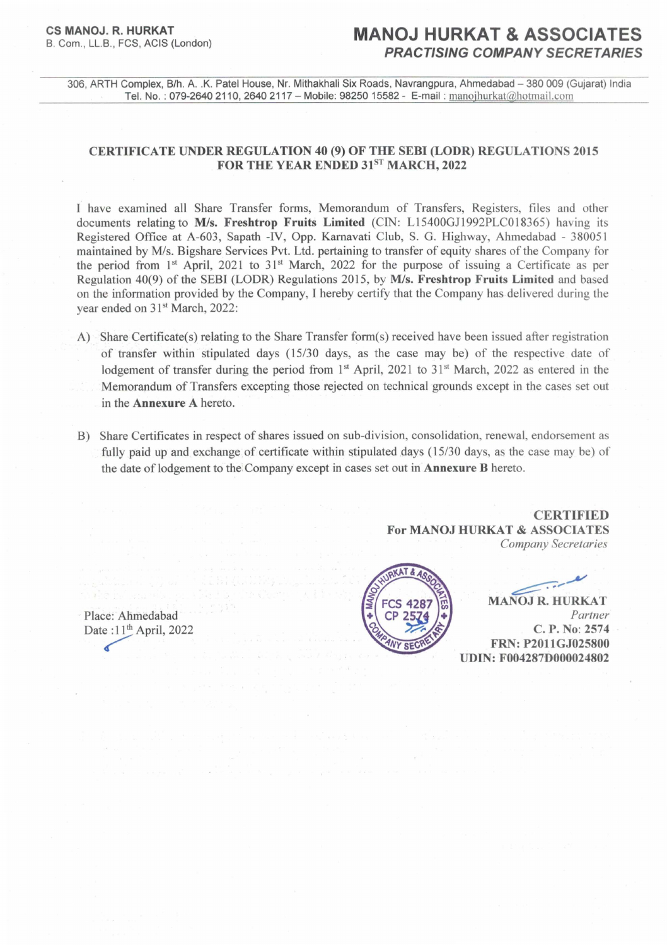# **CS MANOJ. R. HURKAT**

## **MANOJ HURKAT & ASSOCIATES PRACTISING COMPANY SECRETARIES**

306, ARTH Complex, B/h. A. .K. Patel House, Nr. Mithakhali Six Roads, Navrangpura, Ahmedabad - 380 009 (Gujarat) India Tel. No. : 079-26402110, 2640 2117 - Mobile: 98250 15582 - E-mail : manojhurkat@hotmail.com

### **CERTIFICATE UNDER REGULATION 40** (9) **OF THE SEBI (LODR) REGULATIONS 2015 FOR THE YEAR ENDED** 31sT **MARCH, 2022**

I have examined all Share Transfer forms, Memorandum of Transfers, Registers, files and other documents relating to *MIs.* **Freshtrop Fruits Limited** (CIN: Ll5400GJl992PLCO 18365) having its Registered Office at A-603, Sapath -IV, Opp. Kamavati Club, S. G. Highway, Ahmedabad - 380051 maintained by MIs. Bigshare Services Pvt. Ltd. pertaining to transfer of equity shares of the Company for the period from 1<sup>st</sup> April, 2021 to 31<sup>st</sup> March, 2022 for the purpose of issuing a Certificate as per Regulation 40(9) of the SEBI (LODR) Regulations 2015, by *MIs.* **Freshtrop Fruits Limited** and based on the information provided by the Company, I hereby certify that the Company has delivered during the year ended on 31<sup>st</sup> March, 2022:

- A) Share Certificate(s) relating to the Share Transfer form(s) received have been issued after registration of transfer within stipulated days (15/30 days, as the case may be) of the respective date of lodgement of transfer during the period from 1<sup>st</sup> April, 2021 to 31<sup>st</sup> March, 2022 as entered in the Memorandum of Transfers excepting those rejected on technical grounds except in the cases set out in the **Annexure A** hereto.
- B) Share Certificates in respect of shares issued on sub-division, consolidation, renewal, endorsement as fully paid up and exchange of certificate within stipulated days  $(15/30)$  days, as the case may be) of the date of lodgement to the. Company except in cases set out in **Annexure B** hereto.

**CERTIFIED For MANOJ HURKAT & ASSOCIATES**  *Company Secretaries* 

Place: Ahmedabad Date: $11<sup>th</sup>$  April, 2022



 $\sqrt{2\cdot\frac{1}{2}}$ 

**MANOJ R. HURKAT** *Partner*  **C. P.** No: **2574 FRN: P2011GJ025800 UDIN:F004287D000024802**